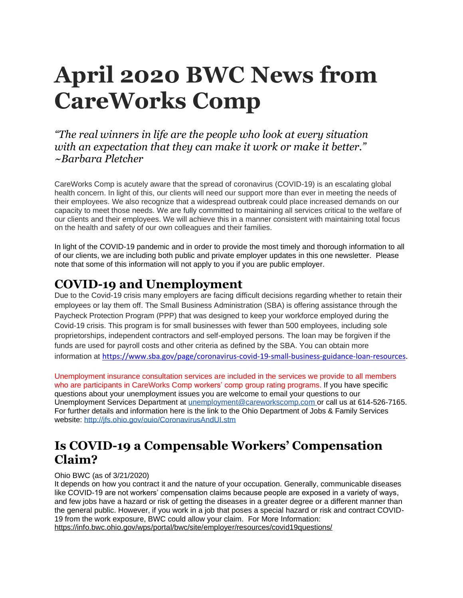# **April 2020 BWC News from CareWorks Comp**

*"The real winners in life are the people who look at every situation with an expectation that they can make it work or make it better." ~Barbara Pletcher* 

CareWorks Comp is acutely aware that the spread of coronavirus (COVID-19) is an escalating global health concern. In light of this, our clients will need our support more than ever in meeting the needs of their employees. We also recognize that a widespread outbreak could place increased demands on our capacity to meet those needs. We are fully committed to maintaining all services critical to the welfare of our clients and their employees. We will achieve this in a manner consistent with maintaining total focus on the health and safety of our own colleagues and their families.

In light of the COVID-19 pandemic and in order to provide the most timely and thorough information to all of our clients, we are including both public and private employer updates in this one newsletter. Please note that some of this information will not apply to you if you are public employer.

#### **COVID-19 and Unemployment**

Due to the Covid-19 crisis many employers are facing difficult decisions regarding whether to retain their employees or lay them off. The Small Business Administration (SBA) is offering assistance through the Paycheck Protection Program (PPP) that was designed to keep your workforce employed during the Covid-19 crisis. This program is for small businesses with fewer than 500 employees, including sole proprietorships, independent contractors and self-employed persons. The loan may be forgiven if the funds are used for payroll costs and other criteria as defined by the SBA. You can obtain more information at [https://www.sba.gov/page/coronavirus-covid-19-small-business-guidance-loan-resources.](https://www.sba.gov/page/coronavirus-covid-19-small-business-guidance-loan-resources)

Unemployment insurance consultation services are included in the services we provide to all members who are participants in CareWorks Comp workers' comp group rating programs. If you have specific questions about your unemployment issues you are welcome to email your questions to our Unemployment Services Department at [unemployment@careworkscomp.com](mailto:unemployment@careworkscomp.com) or call us at 614-526-7165. For further details and information here is the link to the Ohio Department of Jobs & Family Services website:<http://jfs.ohio.gov/ouio/CoronavirusAndUI.stm>

# **Is COVID-19 a Compensable Workers' Compensation Claim?**

#### Ohio BWC (as of 3/21/2020)

It depends on how you contract it and the nature of your occupation. Generally, communicable diseases like COVID-19 are not workers' compensation claims because people are exposed in a variety of ways, and few jobs have a hazard or risk of getting the diseases in a greater degree or a different manner than the general public. However, if you work in a job that poses a special hazard or risk and contract COVID-19 from the work exposure, BWC could allow your claim. For More Information: https://info.bwc.ohio.gov/wps/portal/bwc/site/employer/resources/covid19questions/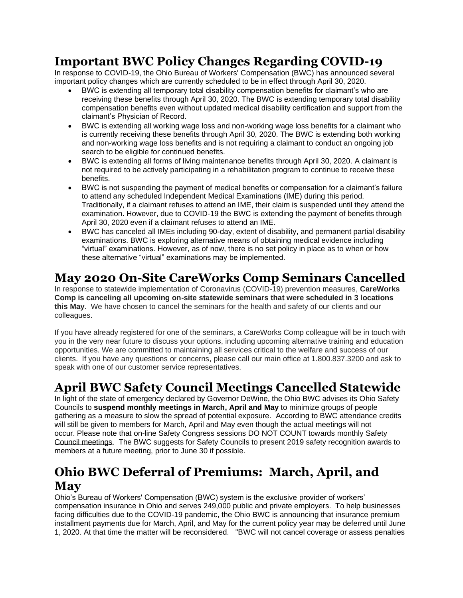#### **Important BWC Policy Changes Regarding COVID-19**

In response to COVID-19, the Ohio Bureau of Workers' Compensation (BWC) has announced several important policy changes which are currently scheduled to be in effect through April 30, 2020.

- BWC is extending all temporary total disability compensation benefits for claimant's who are receiving these benefits through April 30, 2020. The BWC is extending temporary total disability compensation benefits even without updated medical disability certification and support from the claimant's Physician of Record.
- BWC is extending all working wage loss and non-working wage loss benefits for a claimant who is currently receiving these benefits through April 30, 2020. The BWC is extending both working and non-working wage loss benefits and is not requiring a claimant to conduct an ongoing job search to be eligible for continued benefits.
- BWC is extending all forms of living maintenance benefits through April 30, 2020. A claimant is not required to be actively participating in a rehabilitation program to continue to receive these benefits.
- BWC is not suspending the payment of medical benefits or compensation for a claimant's failure to attend any scheduled Independent Medical Examinations (IME) during this period. Traditionally, if a claimant refuses to attend an IME, their claim is suspended until they attend the examination. However, due to COVID-19 the BWC is extending the payment of benefits through April 30, 2020 even if a claimant refuses to attend an IME.
- BWC has canceled all IMEs including 90-day, extent of disability, and permanent partial disability examinations. BWC is exploring alternative means of obtaining medical evidence including "virtual" examinations. However, as of now, there is no set policy in place as to when or how these alternative "virtual" examinations may be implemented.

### **May 2020 On-Site CareWorks Comp Seminars Cancelled**

In response to statewide implementation of Coronavirus (COVID-19) prevention measures, **CareWorks Comp is canceling all upcoming on-site statewide seminars that were scheduled in 3 locations this May**. We have chosen to cancel the seminars for the health and safety of our clients and our colleagues.

If you have already registered for one of the seminars, a CareWorks Comp colleague will be in touch with you in the very near future to discuss your options, including upcoming alternative training and education opportunities. We are committed to maintaining all services critical to the welfare and success of our clients. If you have any questions or concerns, please call our main office at 1.800.837.3200 and ask to speak with one of our customer service representatives.

#### **April BWC Safety Council Meetings Cancelled Statewide**

In light of the state of emergency declared by Governor DeWine, the Ohio BWC advises its Ohio Safety Councils to **suspend monthly meetings in March, April and May** to minimize groups of people gathering as a measure to slow the spread of potential exposure. According to BWC attendance credits will still be given to members for March, April and May even though the actual meetings will not occur. Please note that on-line Safety Congress sessions DO NOT COUNT towards monthly Safety Council meetings. The BWC suggests for Safety Councils to present 2019 safety recognition awards to members at a future meeting, prior to June 30 if possible.

### **Ohio BWC Deferral of Premiums: March, April, and May**

Ohio's Bureau of Workers' Compensation (BWC) system is the exclusive provider of workers' compensation insurance in Ohio and serves 249,000 public and private employers. To help businesses facing difficulties due to the COVID-19 pandemic, the Ohio BWC is announcing that insurance premium installment payments due for March, April, and May for the current policy year may be deferred until June 1, 2020. At that time the matter will be reconsidered. "BWC will not cancel coverage or assess penalties